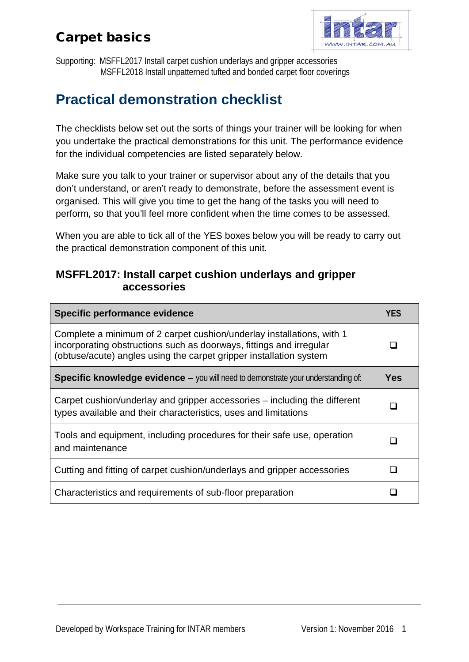## Carpet basics



Supporting: MSFFL2017 Install carpet cushion underlays and gripper accessories MSFFL2018 Install unpatterned tufted and bonded carpet floor coverings

## **Practical demonstration checklist**

The checklists below set out the sorts of things your trainer will be looking for when you undertake the practical demonstrations for this unit. The performance evidence for the individual competencies are listed separately below.

Make sure you talk to your trainer or supervisor about any of the details that you don't understand, or aren't ready to demonstrate, before the assessment event is organised. This will give you time to get the hang of the tasks you will need to perform, so that you'll feel more confident when the time comes to be assessed.

When you are able to tick all of the YES boxes below you will be ready to carry out the practical demonstration component of this unit.

#### **MSFFL2017: Install carpet cushion underlays and gripper accessories**

| Specific performance evidence                                                                                                                                                                                      | YES |
|--------------------------------------------------------------------------------------------------------------------------------------------------------------------------------------------------------------------|-----|
| Complete a minimum of 2 carpet cushion/underlay installations, with 1<br>incorporating obstructions such as doorways, fittings and irregular<br>(obtuse/acute) angles using the carpet gripper installation system |     |
| <b>Specific knowledge evidence</b> - you will need to demonstrate your understanding of:                                                                                                                           | Yes |
| Carpet cushion/underlay and gripper accessories – including the different<br>types available and their characteristics, uses and limitations                                                                       |     |
| Tools and equipment, including procedures for their safe use, operation<br>and maintenance                                                                                                                         |     |
| Cutting and fitting of carpet cushion/underlays and gripper accessories                                                                                                                                            |     |
| Characteristics and requirements of sub-floor preparation                                                                                                                                                          |     |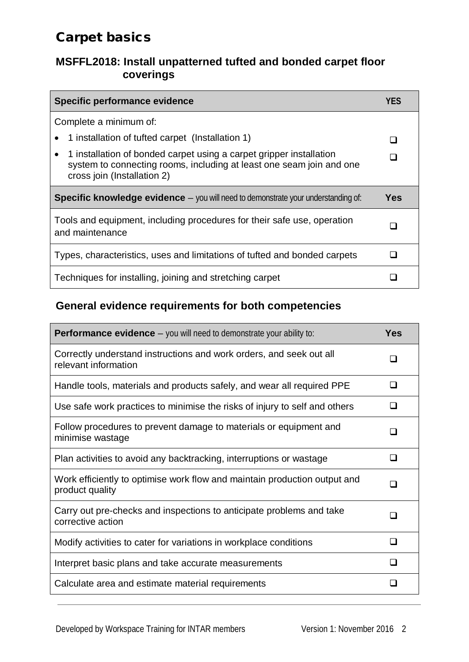### Carpet basics

#### **MSFFL2018: Install unpatterned tufted and bonded carpet floor coverings**

| Specific performance evidence                                                                                                                                                           | YFS   |
|-----------------------------------------------------------------------------------------------------------------------------------------------------------------------------------------|-------|
| Complete a minimum of:                                                                                                                                                                  |       |
| 1 installation of tufted carpet (Installation 1)                                                                                                                                        |       |
| 1 installation of bonded carpet using a carpet gripper installation<br>$\bullet$<br>system to connecting rooms, including at least one seam join and one<br>cross join (Installation 2) |       |
| <b>Specific knowledge evidence</b> – you will need to demonstrate your understanding of:                                                                                                | Yes   |
|                                                                                                                                                                                         |       |
| Tools and equipment, including procedures for their safe use, operation<br>and maintenance                                                                                              | n a s |
| Types, characteristics, uses and limitations of tufted and bonded carpets                                                                                                               |       |

#### **General evidence requirements for both competencies**

| <b>Performance evidence</b> $-$ you will need to demonstrate your ability to:                | <b>Yes</b> |
|----------------------------------------------------------------------------------------------|------------|
| Correctly understand instructions and work orders, and seek out all<br>relevant information  | □          |
| Handle tools, materials and products safely, and wear all required PPE                       | n          |
| Use safe work practices to minimise the risks of injury to self and others                   | ⊓          |
| Follow procedures to prevent damage to materials or equipment and<br>minimise wastage        | ∩          |
| Plan activities to avoid any backtracking, interruptions or wastage                          | n          |
| Work efficiently to optimise work flow and maintain production output and<br>product quality | П          |
| Carry out pre-checks and inspections to anticipate problems and take<br>corrective action    | □          |
| Modify activities to cater for variations in workplace conditions                            | ∩          |
| Interpret basic plans and take accurate measurements                                         | ⊓          |
| Calculate area and estimate material requirements                                            | П          |